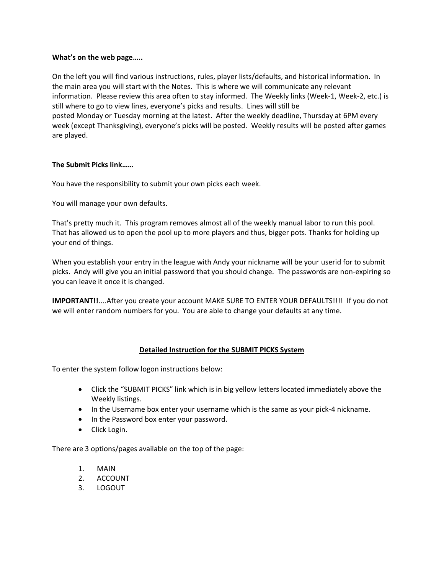#### **What's on the web page…..**

On the left you will find various instructions, rules, player lists/defaults, and historical information. In the main area you will start with the Notes. This is where we will communicate any relevant information. Please review this area often to stay informed. The Weekly links (Week-1, Week-2, etc.) is still where to go to view lines, everyone's picks and results. Lines will still be posted Monday or Tuesday morning at the latest. After the weekly deadline, Thursday at 6PM every week (except Thanksgiving), everyone's picks will be posted. Weekly results will be posted after games are played.

# **The Submit Picks link……**

You have the responsibility to submit your own picks each week.

You will manage your own defaults.

That's pretty much it. This program removes almost all of the weekly manual labor to run this pool. That has allowed us to open the pool up to more players and thus, bigger pots. Thanks for holding up your end of things.

When you establish your entry in the league with Andy your nickname will be your userid for to submit picks. Andy will give you an initial password that you should change. The passwords are non-expiring so you can leave it once it is changed.

**IMPORTANT!!**....After you create your account MAKE SURE TO ENTER YOUR DEFAULTS!!!! If you do not we will enter random numbers for you. You are able to change your defaults at any time.

# **Detailed Instruction for the SUBMIT PICKS System**

To enter the system follow logon instructions below:

- Click the "SUBMIT PICKS" link which is in big yellow letters located immediately above the Weekly listings.
- In the Username box enter your username which is the same as your pick-4 nickname.
- In the Password box enter your password.
- Click Login.

There are 3 options/pages available on the top of the page:

- 1. MAIN
- 2. ACCOUNT
- 3. LOGOUT